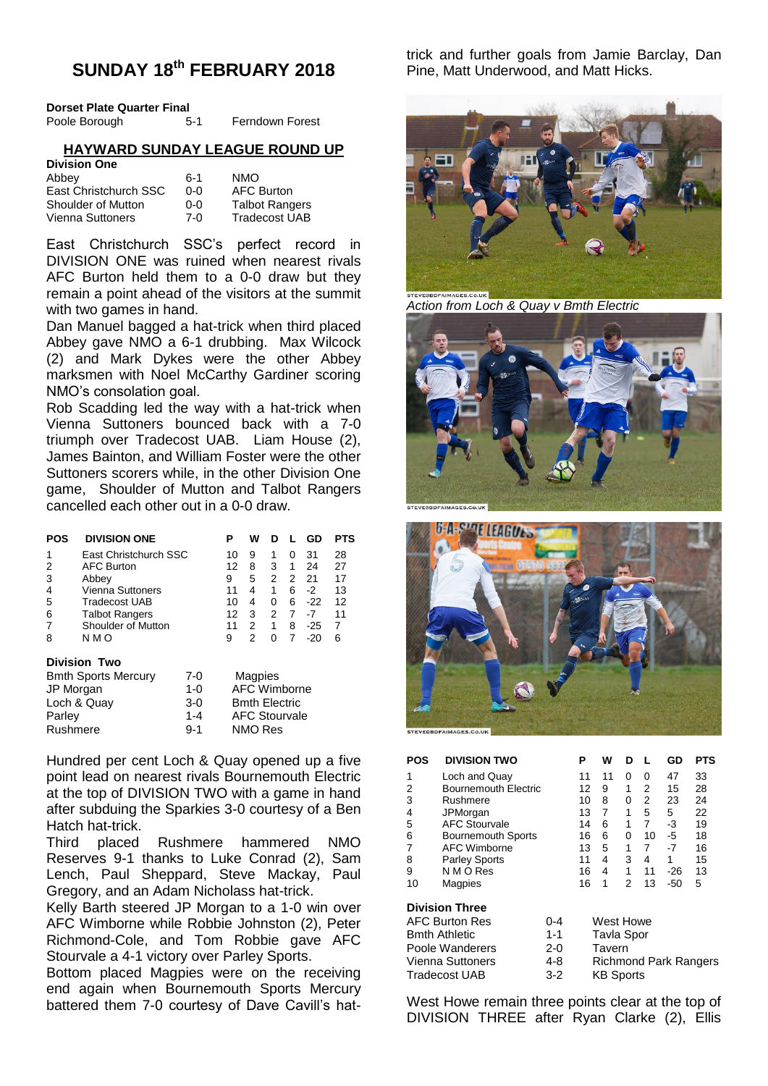# **SUNDAY 18th FEBRUARY 2018**

| Dorset Plate Quarter Final |       |                        |
|----------------------------|-------|------------------------|
| Poole Borough              | $5-1$ | <b>Ferndown Forest</b> |

## **HAYWARD SUNDAY LEAGUE ROUND UP**

| <b>Division One</b>   |       |                       |
|-----------------------|-------|-----------------------|
| Abbey                 | $6-1$ | <b>NMO</b>            |
| East Christchurch SSC | റ-റ   | <b>AFC Burton</b>     |
| Shoulder of Mutton    | ი-ი   | <b>Talbot Rangers</b> |
| Vienna Suttoners      | 7-0   | <b>Tradecost UAB</b>  |

East Christchurch SSC's perfect record in DIVISION ONE was ruined when nearest rivals AFC Burton held them to a 0-0 draw but they remain a point ahead of the visitors at the summit with two games in hand.

Dan Manuel bagged a hat-trick when third placed Abbey gave NMO a 6-1 drubbing. Max Wilcock (2) and Mark Dykes were the other Abbey marksmen with Noel McCarthy Gardiner scoring NMO's consolation goal.

Rob Scadding led the way with a hat-trick when Vienna Suttoners bounced back with a 7-0 triumph over Tradecost UAB. Liam House (2), James Bainton, and William Foster were the other Suttoners scorers while, in the other Division One game, Shoulder of Mutton and Talbot Rangers cancelled each other out in a 0-0 draw.

| POS                    | <b>DIVISION ONE</b>       | Р  | w | n | н.           | GD    | PTS |
|------------------------|---------------------------|----|---|---|--------------|-------|-----|
| 1                      | East Christchurch SSC     | 10 | 9 | 1 | $\mathbf{0}$ | 31    | 28  |
| 2                      | <b>AFC Burton</b>         | 12 | 8 | 3 | 1            | 24    | 27  |
| 3                      | Abbey                     | 9  | 5 | 2 | 2            | 21    | 17  |
| 4                      | <b>Vienna Suttoners</b>   | 11 | 4 | 1 | 6            | $-2$  | 13  |
| 5                      | Tradecost UAB             | 10 | 4 | 0 | 6            | $-22$ | 12  |
| 6                      | <b>Talbot Rangers</b>     | 12 | 3 | 2 | 7            | -7    | 11  |
| 7                      | <b>Shoulder of Mutton</b> | 11 | 2 | 1 | 8            | $-25$ | 7   |
| 8                      | N M O                     | 9  | 2 | 0 | 7            | $-20$ | 6   |
| <b>Division</b><br>Two |                           |    |   |   |              |       |     |

## **Division Two**

| <b>Bmth Sports Mercury</b> | $7-0$   | Magpies              |
|----------------------------|---------|----------------------|
| JP Morgan                  | $1 - 0$ | AFC Wimborne         |
| Loch & Quay                | $3-0$   | <b>Bmth Electric</b> |
| Parley                     | $1 - 4$ | <b>AFC Stourvale</b> |
| Rushmere                   | $9 - 1$ | NMO Res              |
|                            |         |                      |

Hundred per cent Loch & Quay opened up a five point lead on nearest rivals Bournemouth Electric at the top of DIVISION TWO with a game in hand after subduing the Sparkies 3-0 courtesy of a Ben Hatch hat-trick.

Third placed Rushmere hammered NMO Reserves 9-1 thanks to Luke Conrad (2), Sam Lench, Paul Sheppard, Steve Mackay, Paul Gregory, and an Adam Nicholass hat-trick.

Kelly Barth steered JP Morgan to a 1-0 win over AFC Wimborne while Robbie Johnston (2), Peter Richmond-Cole, and Tom Robbie gave AFC Stourvale a 4-1 victory over Parley Sports.

Bottom placed Magpies were on the receiving end again when Bournemouth Sports Mercury battered them 7-0 courtesy of Dave Cavill's hattrick and further goals from Jamie Barclay, Dan Pine, Matt Underwood, and Matt Hicks.



*Action from Loch & Quay v Bmth Electric*





| POS | <b>DIVISION TWO</b>       | P  | w  | D |    | GD   | PTS |
|-----|---------------------------|----|----|---|----|------|-----|
|     | Loch and Quay             | 11 | 11 | 0 | 0  | 47   | 33  |
| 2   | Bournemouth Electric      | 12 | 9  | 1 | 2  | 15   | 28  |
| 3   | Rushmere                  | 10 | 8  | 0 | 2  | 23   | 24  |
| 4   | JPMorgan                  | 13 | 7  | 1 | 5  | 5    | 22  |
| 5   | <b>AFC Stourvale</b>      | 14 | 6  | 1 | 7  | -3   | 19  |
| 6   | <b>Bournemouth Sports</b> | 16 | 6  | 0 | 10 | -5   | 18  |
|     | AFC Wimborne              | 13 | 5  | 1 | 7  | $-7$ | 16  |
| 8   | <b>Parley Sports</b>      | 11 | 4  | 3 | 4  | 1    | 15  |
| 9   | N M O Res                 | 16 | 4  | 1 | 11 | -26  | 13  |
| 10  | Magpies                   | 16 | 1  | 2 | 13 | -50  | 5   |

#### **Division Three**

| <b>AFC Burton Res</b> | $0 - 4$ | West Howe                    |
|-----------------------|---------|------------------------------|
| <b>Bmth Athletic</b>  | $1 - 1$ | <b>Tavla Spor</b>            |
| Poole Wanderers       | $2-0$   | Tavern                       |
| Vienna Suttoners      | 4-8     | <b>Richmond Park Rangers</b> |
| Tradecost UAB         | $3-2$   | <b>KB</b> Sports             |

West Howe remain three points clear at the top of DIVISION THREE after Ryan Clarke (2), Ellis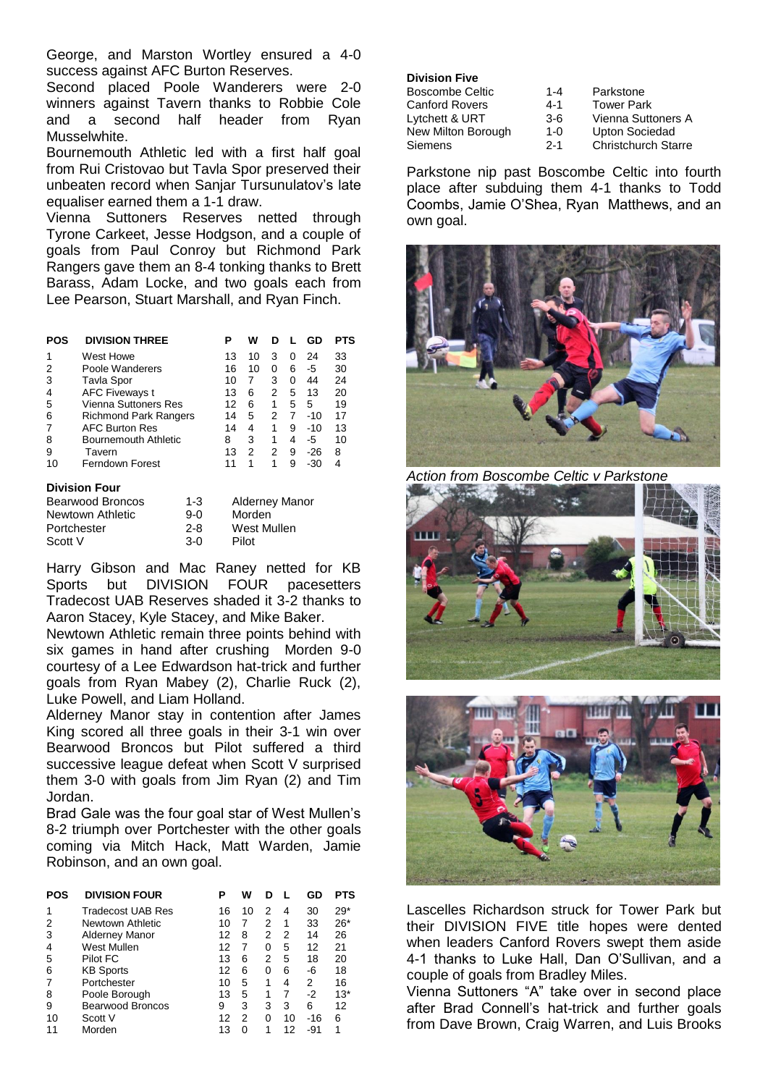George, and Marston Wortley ensured a 4-0 success against AFC Burton Reserves.

Second placed Poole Wanderers were 2-0 winners against Tavern thanks to Robbie Cole and a second half header from Ryan Musselwhite.

Bournemouth Athletic led with a first half goal from Rui Cristovao but Tavla Spor preserved their unbeaten record when Sanjar Tursunulatov's late equaliser earned them a 1-1 draw.

Vienna Suttoners Reserves netted through Tyrone Carkeet, Jesse Hodgson, and a couple of goals from Paul Conroy but Richmond Park Rangers gave them an 8-4 tonking thanks to Brett Barass, Adam Locke, and two goals each from Lee Pearson, Stuart Marshall, and Ryan Finch.

| POS | <b>DIVISION THREE</b>        | Р  | w  | D |   | GD    | PTS |
|-----|------------------------------|----|----|---|---|-------|-----|
| 1   | West Howe                    | 13 | 10 | 3 | O | 24    | 33  |
|     | Poole Wanderers              | 16 | 10 | 0 | 6 | -5    | 30  |
| 3   | <b>Tavla Spor</b>            | 10 |    | 3 | 0 | 44    | 24  |
| 4   | <b>AFC Fiveways t</b>        | 13 | 6  | 2 | 5 | 13    | 20  |
| 5   | Vienna Suttoners Res         | 12 | 6  | 1 | 5 | 5     | 19  |
| 6   | <b>Richmond Park Rangers</b> | 14 | 5  | 2 | 7 | $-10$ | 17  |
|     | <b>AFC Burton Res</b>        | 14 | 4  | 1 | 9 | $-10$ | 13  |
| 8   | Bournemouth Athletic         | 8  | 3  | 1 | 4 | -5    | 10  |
| 9   | Tavern                       | 13 | 2  | 2 | 9 | -26   | 8   |
| 10  | <b>Ferndown Forest</b>       | 11 |    |   | 9 | -30   | 4   |

#### **Division Four**

| Bearwood Broncos | $1 - 3$ | <b>Alderney Manor</b> |
|------------------|---------|-----------------------|
| Newtown Athletic | 9-0     | Morden                |
| Portchester      | $2 - 8$ | West Mullen           |
| Scott V          | $3-0$   | Pilot                 |

Harry Gibson and Mac Raney netted for KB Sports but DIVISION FOUR pacesetters Tradecost UAB Reserves shaded it 3-2 thanks to Aaron Stacey, Kyle Stacey, and Mike Baker.

Newtown Athletic remain three points behind with six games in hand after crushing Morden 9-0 courtesy of a Lee Edwardson hat-trick and further goals from Ryan Mabey (2), Charlie Ruck (2), Luke Powell, and Liam Holland.

Alderney Manor stay in contention after James King scored all three goals in their 3-1 win over Bearwood Broncos but Pilot suffered a third successive league defeat when Scott V surprised them 3-0 with goals from Jim Ryan (2) and Tim Jordan.

Brad Gale was the four goal star of West Mullen's 8-2 triumph over Portchester with the other goals coming via Mitch Hack, Matt Warden, Jamie Robinson, and an own goal.

| POS | <b>DIVISION FOUR</b>     | Р  | w  | D |    | GD    | <b>PTS</b> |
|-----|--------------------------|----|----|---|----|-------|------------|
|     | <b>Tradecost UAB Res</b> | 16 | 10 | 2 | 4  | 30    | $29*$      |
| 2   | Newtown Athletic         | 10 | 7  | 2 | 1  | 33    | $26*$      |
| 3   | <b>Alderney Manor</b>    | 12 | 8  | 2 | 2  | 14    | 26         |
| 4   | West Mullen              | 12 | 7  | 0 | 5  | 12    | 21         |
| 5   | Pilot FC                 | 13 | 6  | 2 | 5  | 18    | 20         |
| 6   | <b>KB Sports</b>         | 12 | 6  | 0 | 6  | -6    | 18         |
| 7   | Portchester              | 10 | 5  | 1 | 4  | 2     | 16         |
| 8   | Poole Borough            | 13 | 5  | 1 |    | $-2$  | $13*$      |
| 9   | Bearwood Broncos         | 9  | 3  | 3 | 3  | 6     | 12         |
| 10  | Scott V                  | 12 | 2  | 0 | 10 | $-16$ | 6          |
|     | Morden                   | 13 | O  |   | 12 | -91   | 1          |

| <b>Division Five</b>   |         |                            |
|------------------------|---------|----------------------------|
| <b>Boscombe Celtic</b> | $1 - 4$ | Parkstone                  |
| <b>Canford Rovers</b>  | $4 - 1$ | <b>Tower Park</b>          |
| Lytchett & URT         | $3-6$   | Vienna Suttoners A         |
| New Milton Borough     | $1 - 0$ | <b>Upton Sociedad</b>      |
| Siemens                | $2 - 1$ | <b>Christchurch Starre</b> |

Parkstone nip past Boscombe Celtic into fourth place after subduing them 4-1 thanks to Todd Coombs, Jamie O'Shea, Ryan Matthews, and an own goal.



*Action from Boscombe Celtic v Parkstone*





Lascelles Richardson struck for Tower Park but their DIVISION FIVE title hopes were dented when leaders Canford Rovers swept them aside 4-1 thanks to Luke Hall, Dan O'Sullivan, and a couple of goals from Bradley Miles.

Vienna Suttoners "A" take over in second place after Brad Connell's hat-trick and further goals from Dave Brown, Craig Warren, and Luis Brooks